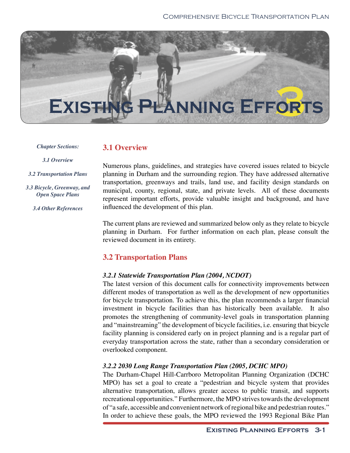

*Chapter Sections:*

### **3.1 Overview**

*3.1 Overview*

*3.2 Transportation Plans*

*3.3 Bicycle, Greenway, and Open Space Plans*

*3.4 Other References*

Numerous plans, guidelines, and strategies have covered issues related to bicycle planning in Durham and the surrounding region. They have addressed alternative transportation, greenways and trails, land use, and facility design standards on municipal, county, regional, state, and private levels. All of these documents represent important efforts, provide valuable insight and background, and have influenced the development of this plan.

The current plans are reviewed and summarized below only as they relate to bicycle planning in Durham. For further information on each plan, please consult the reviewed document in its entirety.

# **3.2 Transportation Plans**

# *3.2.1 Statewide Transportation Plan (2004, NCDOT)*

The latest version of this document calls for connectivity improvements between different modes of transportation as well as the development of new opportunities for bicycle transportation. To achieve this, the plan recommends a larger financial investment in bicycle facilities than has historically been available. It also promotes the strengthening of community-level goals in transportation planning and "mainstreaming" the development of bicycle facilities, i.e. ensuring that bicycle facility planning is considered early on in project planning and is a regular part of everyday transportation across the state, rather than a secondary consideration or overlooked component.

# *3.2.2 2030 Long Range Transportation Plan (2005, DCHC MPO)*

The Durham-Chapel Hill-Carrboro Metropolitan Planning Organization (DCHC MPO) has set a goal to create a "pedestrian and bicycle system that provides alternative transportation, allows greater access to public transit, and supports recreational opportunities." Furthermore, the MPO strives towards the development of "a safe, accessible and convenient network of regional bike and pedestrian routes." In order to achieve these goals, the MPO reviewed the 1993 Regional Bike Plan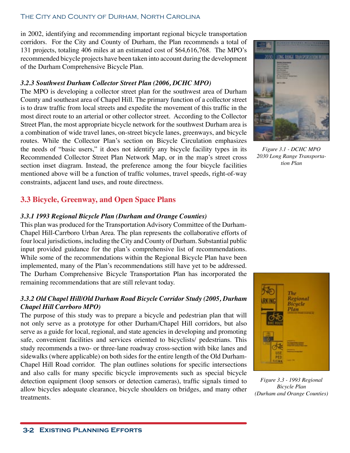#### The City and County of Durham, North Carolina

in 2002, identifying and recommending important regional bicycle transportation corridors. For the City and County of Durham, the Plan recommends a total of 131 projects, totaling 406 miles at an estimated cost of \$64,616,768. The MPO's recommended bicycle projects have been taken into account during the development of the Durham Comprehensive Bicycle Plan.

#### *3.2.3 Southwest Durham Collector Street Plan (2006, DCHC MPO)*

The MPO is developing a collector street plan for the southwest area of Durham County and southeast area of Chapel Hill. The primary function of a collector street is to draw traffic from local streets and expedite the movement of this traffic in the most direct route to an arterial or other collector street. According to the Collector Street Plan, the most appropriate bicycle network for the southwest Durham area is a combination of wide travel lanes, on-street bicycle lanes, greenways, and bicycle routes. While the Collector Plan's section on Bicycle Circulation emphasizes the needs of "basic users," it does not identify any bicycle facility types in its Recommended Collector Street Plan Network Map, or in the map's street cross section inset diagram. Instead, the preference among the four bicycle facilities mentioned above will be a function of traffic volumes, travel speeds, right-of-way constraints, adjacent land uses, and route directness.

# **3.3 Bicycle, Greenway, and Open Space Plans**

#### *3.3.1 1993 Regional Bicycle Plan (Durham and Orange Counties)*

This plan was produced for the Transportation Advisory Committee of the Durham-Chapel Hill-Carrboro Urban Area. The plan represents the collaborative efforts of four local jurisdictions, including the City and County of Durham. Substantial public input provided guidance for the plan's comprehensive list of recommendations. While some of the recommendations within the Regional Bicycle Plan have been implemented, many of the Plan's recommendations still have yet to be addressed. The Durham Comprehensive Bicycle Transportation Plan has incorporated the remaining recommendations that are still relevant today.

### *3.3.2 Old Chapel Hill/Old Durham Road Bicycle Corridor Study (2005, Durham Chapel Hill Carrboro MPO)*

The purpose of this study was to prepare a bicycle and pedestrian plan that will not only serve as a prototype for other Durham/Chapel Hill corridors, but also serve as a guide for local, regional, and state agencies in developing and promoting safe, convenient facilities and services oriented to bicyclists/ pedestrians. This study recommends a two- or three-lane roadway cross-section with bike lanes and sidewalks (where applicable) on both sides for the entire length of the Old Durham-Chapel Hill Road corridor. The plan outlines solutions for specific intersections and also calls for many specific bicycle improvements such as special bicycle detection equipment (loop sensors or detection cameras), traffic signals timed to allow bicycles adequate clearance, bicycle shoulders on bridges, and many other treatments.



*Figure 3.1 - DCHC MPO 2030 Long Range Transportation Plan*



*Figure 3.3 - 1993 Regional Bicycle Plan (Durham and Orange Counties)*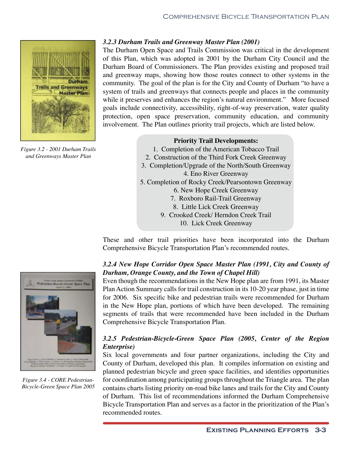

*Figure 3.2 - 2001 Durham Trails and Greenways Master Plan*

### *3.2.3 Durham Trails and Greenway Master Plan (2001)*

The Durham Open Space and Trails Commission was critical in the development of this Plan, which was adopted in 2001 by the Durham City Council and the Durham Board of Commissioners. The Plan provides existing and proposed trail and greenway maps, showing how those routes connect to other systems in the community. The goal of the plan is for the City and County of Durham "to have a system of trails and greenways that connects people and places in the community while it preserves and enhances the region's natural environment." More focused goals include connectivity, accessibility, right-of-way preservation, water quality protection, open space preservation, community education, and community involvement. The Plan outlines priority trail projects, which are listed below.

#### **Priority Trail Developments:**

- 1. Completion of the American Tobacco Trail
- 2. Construction of the Third Fork Creek Greenway
- 3. Completion/Upgrade of the North/South Greenway 4. Eno River Greenway
- 5. Completion of Rocky Creek/Pearsontown Greenway 6. New Hope Creek Greenway
	- 7. Roxboro Rail-Trail Greenway
	- 8. Little Lick Creek Greenway
	- 9. Crooked Creek/ Herndon Creek Trail
		- 10. Lick Creek Greenway

These and other trail priorities have been incorporated into the Durham Comprehensive Bicycle Transportation Plan's recommended routes.

# *3.2.4 New Hope Corridor Open Space Master Plan (1991, City and County of Durham, Orange County, and the Town of Chapel Hill)*

Even though the recommendations in the New Hope plan are from 1991, its Master Plan Action Summary calls for trail construction in its 10-20 year phase, just in time for 2006. Six specific bike and pedestrian trails were recommended for Durham in the New Hope plan, portions of which have been developed. The remaining segments of trails that were recommended have been included in the Durham Comprehensive Bicycle Transportation Plan.

# *3.2.5 Pedestrian-Bicycle-Green Space Plan (2005, Center of the Region Enterprise)*

Six local governments and four partner organizations, including the City and County of Durham, developed this plan. It compiles information on existing and planned pedestrian bicycle and green space facilities, and identifies opportunities for coordination among participating groups throughout the Triangle area. The plan contains charts listing priority on-road bike lanes and trails for the City and County of Durham. This list of recommendations informed the Durham Comprehensive Bicycle Transportation Plan and serves as a factor in the prioritization of the Plan's recommended routes.



*Figure 3.4 - CORE Pedestrian-Bicycle-Green Space Plan 2005*